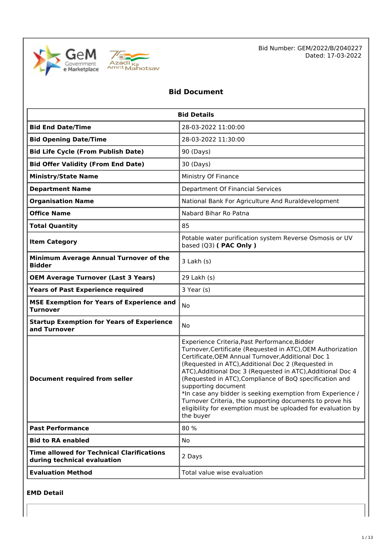



Bid Number: GEM/2022/B/2040227 Dated: 17-03-2022

# **Bid Document**

| <b>Bid Details</b>                                                              |                                                                                                                                                                                                                                                                                                                                                                                                                                                                                                                                                                                  |
|---------------------------------------------------------------------------------|----------------------------------------------------------------------------------------------------------------------------------------------------------------------------------------------------------------------------------------------------------------------------------------------------------------------------------------------------------------------------------------------------------------------------------------------------------------------------------------------------------------------------------------------------------------------------------|
| <b>Bid End Date/Time</b>                                                        | 28-03-2022 11:00:00                                                                                                                                                                                                                                                                                                                                                                                                                                                                                                                                                              |
| <b>Bid Opening Date/Time</b>                                                    | 28-03-2022 11:30:00                                                                                                                                                                                                                                                                                                                                                                                                                                                                                                                                                              |
| <b>Bid Life Cycle (From Publish Date)</b>                                       | 90 (Days)                                                                                                                                                                                                                                                                                                                                                                                                                                                                                                                                                                        |
| <b>Bid Offer Validity (From End Date)</b>                                       | 30 (Days)                                                                                                                                                                                                                                                                                                                                                                                                                                                                                                                                                                        |
| <b>Ministry/State Name</b>                                                      | Ministry Of Finance                                                                                                                                                                                                                                                                                                                                                                                                                                                                                                                                                              |
| <b>Department Name</b>                                                          | Department Of Financial Services                                                                                                                                                                                                                                                                                                                                                                                                                                                                                                                                                 |
| <b>Organisation Name</b>                                                        | National Bank For Agriculture And Ruraldevelopment                                                                                                                                                                                                                                                                                                                                                                                                                                                                                                                               |
| <b>Office Name</b>                                                              | Nabard Bihar Ro Patna                                                                                                                                                                                                                                                                                                                                                                                                                                                                                                                                                            |
| <b>Total Quantity</b>                                                           | 85                                                                                                                                                                                                                                                                                                                                                                                                                                                                                                                                                                               |
| <b>Item Category</b>                                                            | Potable water purification system Reverse Osmosis or UV<br>based (Q3) ( PAC Only )                                                                                                                                                                                                                                                                                                                                                                                                                                                                                               |
| Minimum Average Annual Turnover of the<br><b>Bidder</b>                         | $3$ Lakh $(s)$                                                                                                                                                                                                                                                                                                                                                                                                                                                                                                                                                                   |
| <b>OEM Average Turnover (Last 3 Years)</b>                                      | 29 Lakh (s)                                                                                                                                                                                                                                                                                                                                                                                                                                                                                                                                                                      |
| <b>Years of Past Experience required</b>                                        | 3 Year (s)                                                                                                                                                                                                                                                                                                                                                                                                                                                                                                                                                                       |
| <b>MSE Exemption for Years of Experience and</b><br><b>Turnover</b>             | No                                                                                                                                                                                                                                                                                                                                                                                                                                                                                                                                                                               |
| <b>Startup Exemption for Years of Experience</b><br>and Turnover                | No                                                                                                                                                                                                                                                                                                                                                                                                                                                                                                                                                                               |
| <b>Document required from seller</b>                                            | Experience Criteria, Past Performance, Bidder<br>Turnover, Certificate (Requested in ATC), OEM Authorization<br>Certificate, OEM Annual Turnover, Additional Doc 1<br>(Requested in ATC), Additional Doc 2 (Requested in<br>ATC), Additional Doc 3 (Requested in ATC), Additional Doc 4<br>(Requested in ATC), Compliance of BoQ specification and<br>supporting document<br>*In case any bidder is seeking exemption from Experience /<br>Turnover Criteria, the supporting documents to prove his<br>eligibility for exemption must be uploaded for evaluation by<br>the buyer |
| <b>Past Performance</b>                                                         | 80 %                                                                                                                                                                                                                                                                                                                                                                                                                                                                                                                                                                             |
| <b>Bid to RA enabled</b>                                                        | No                                                                                                                                                                                                                                                                                                                                                                                                                                                                                                                                                                               |
| <b>Time allowed for Technical Clarifications</b><br>during technical evaluation | 2 Days                                                                                                                                                                                                                                                                                                                                                                                                                                                                                                                                                                           |
| <b>Evaluation Method</b>                                                        | Total value wise evaluation                                                                                                                                                                                                                                                                                                                                                                                                                                                                                                                                                      |

**EMD Detail**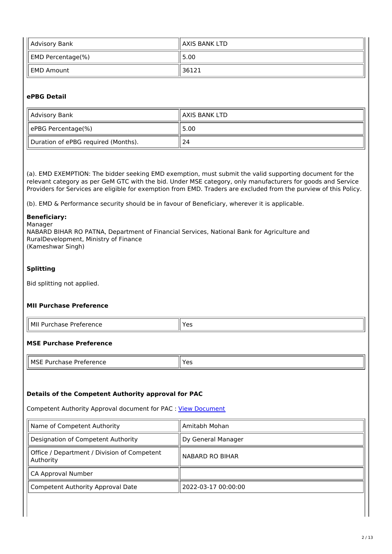| Advisory Bank     | ll AXIS BANK LTD |
|-------------------|------------------|
| EMD Percentage(%) | 5.00             |
| l EMD Amount      | 36121            |

## **ePBG Detail**

| Advisory Bank                       | ll AXIS BANK LTD |
|-------------------------------------|------------------|
| ePBG Percentage(%)                  | 5.00             |
| Duration of ePBG required (Months). | 24               |

(a). EMD EXEMPTION: The bidder seeking EMD exemption, must submit the valid supporting document for the relevant category as per GeM GTC with the bid. Under MSE category, only manufacturers for goods and Service Providers for Services are eligible for exemption from EMD. Traders are excluded from the purview of this Policy.

(b). EMD & Performance security should be in favour of Beneficiary, wherever it is applicable.

## **Beneficiary:**

Manager NABARD BIHAR RO PATNA, Department of Financial Services, National Bank for Agriculture and RuralDevelopment, Ministry of Finance (Kameshwar Singh)

## **Splitting**

Bid splitting not applied.

## **MII Purchase Preference**

| 'I MIL<br>Preference<br>Purchase | . |
|----------------------------------|---|
|                                  |   |

## **MSE Purchase Preference**

| II MSE<br>Drotoronco<br>$- - - -$<br>rence<br>Purchase<br>∟טוי<br>. | $\mathsf{v}_{\mathsf{A}}$<br>. |
|---------------------------------------------------------------------|--------------------------------|
|---------------------------------------------------------------------|--------------------------------|

#### **Details of the Competent Authority approval for PAC**

Competent Authority Approval document for PAC : View Document

| Name of Competent Authority                              | Amitabh Mohan          |
|----------------------------------------------------------|------------------------|
| Designation of Competent Authority                       | Dy General Manager     |
| Office / Department / Division of Competent<br>Authority | <b>NABARD RO BIHAR</b> |
| CA Approval Number                                       |                        |
| Competent Authority Approval Date                        | 2022-03-17 00:00:00    |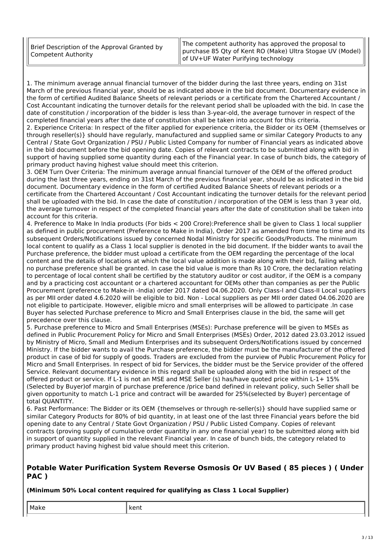1. The minimum average annual financial turnover of the bidder during the last three years, ending on 31st March of the previous financial year, should be as indicated above in the bid document. Documentary evidence in the form of certified Audited Balance Sheets of relevant periods or a certificate from the Chartered Accountant / Cost Accountant indicating the turnover details for the relevant period shall be uploaded with the bid. In case the date of constitution / incorporation of the bidder is less than 3-year-old, the average turnover in respect of the completed financial years after the date of constitution shall be taken into account for this criteria.

2. Experience Criteria: In respect of the filter applied for experience criteria, the Bidder or its OEM {themselves or through reseller(s)} should have regularly, manufactured and supplied same or similar Category Products to any Central / State Govt Organization / PSU / Public Listed Company for number of Financial years as indicated above in the bid document before the bid opening date. Copies of relevant contracts to be submitted along with bid in support of having supplied some quantity during each of the Financial year. In case of bunch bids, the category of primary product having highest value should meet this criterion.

3. OEM Turn Over Criteria: The minimum average annual financial turnover of the OEM of the offered product during the last three years, ending on 31st March of the previous financial year, should be as indicated in the bid document. Documentary evidence in the form of certified Audited Balance Sheets of relevant periods or a certificate from the Chartered Accountant / Cost Accountant indicating the turnover details for the relevant period shall be uploaded with the bid. In case the date of constitution / incorporation of the OEM is less than 3 year old, the average turnover in respect of the completed financial years after the date of constitution shall be taken into account for this criteria.

4. Preference to Make In India products (For bids < 200 Crore):Preference shall be given to Class 1 local supplier as defined in public procurement (Preference to Make in India), Order 2017 as amended from time to time and its subsequent Orders/Notifications issued by concerned Nodal Ministry for specific Goods/Products. The minimum local content to qualify as a Class 1 local supplier is denoted in the bid document. If the bidder wants to avail the Purchase preference, the bidder must upload a certificate from the OEM regarding the percentage of the local content and the details of locations at which the local value addition is made along with their bid, failing which no purchase preference shall be granted. In case the bid value is more than Rs 10 Crore, the declaration relating to percentage of local content shall be certified by the statutory auditor or cost auditor, if the OEM is a company and by a practicing cost accountant or a chartered accountant for OEMs other than companies as per the Public Procurement (preference to Make-in -India) order 2017 dated 04.06.2020. Only Class-I and Class-II Local suppliers as per MII order dated 4.6.2020 will be eligible to bid. Non - Local suppliers as per MII order dated 04.06.2020 are not eligible to participate. However, eligible micro and small enterprises will be allowed to participate .In case Buyer has selected Purchase preference to Micro and Small Enterprises clause in the bid, the same will get precedence over this clause.

5. Purchase preference to Micro and Small Enterprises (MSEs): Purchase preference will be given to MSEs as defined in Public Procurement Policy for Micro and Small Enterprises (MSEs) Order, 2012 dated 23.03.2012 issued by Ministry of Micro, Small and Medium Enterprises and its subsequent Orders/Notifications issued by concerned Ministry. If the bidder wants to avail the Purchase preference, the bidder must be the manufacturer of the offered product in case of bid for supply of goods. Traders are excluded from the purview of Public Procurement Policy for Micro and Small Enterprises. In respect of bid for Services, the bidder must be the Service provider of the offered Service. Relevant documentary evidence in this regard shall be uploaded along with the bid in respect of the offered product or service. If L-1 is not an MSE and MSE Seller (s) has/have quoted price within L-1+ 15% (Selected by Buyer)of margin of purchase preference /price band defined in relevant policy, such Seller shall be given opportunity to match L-1 price and contract will be awarded for 25%(selected by Buyer) percentage of total QUANTITY.

6. Past Performance: The Bidder or its OEM {themselves or through re-seller(s)} should have supplied same or similar Category Products for 80% of bid quantity, in at least one of the last three Financial years before the bid opening date to any Central / State Govt Organization / PSU / Public Listed Company. Copies of relevant contracts (proving supply of cumulative order quantity in any one financial year) to be submitted along with bid in support of quantity supplied in the relevant Financial year. In case of bunch bids, the category related to primary product having highest bid value should meet this criterion.

## **Potable Water Purification System Reverse Osmosis Or UV Based ( 85 pieces ) ( Under PAC )**

## **(Minimum 50% Local content required for qualifying as Class 1 Local Supplier)**

| . | $M =$<br>---<br>Mari | ---- |
|---|----------------------|------|
|---|----------------------|------|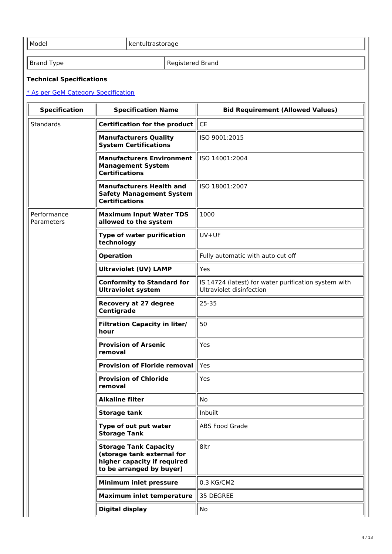Model **Model** kentultrastorage

Brand Type **Registered Brand** 

## **Technical Specifications**

# \* As per GeM Category Specification

| <b>Specification</b>      | <b>Specification Name</b>                                                                                             | <b>Bid Requirement (Allowed Values)</b>                                          |
|---------------------------|-----------------------------------------------------------------------------------------------------------------------|----------------------------------------------------------------------------------|
| <b>Standards</b>          | Certification for the product                                                                                         | <b>CE</b>                                                                        |
|                           | <b>Manufacturers Quality</b><br><b>System Certifications</b>                                                          | ISO 9001:2015                                                                    |
|                           | <b>Manufacturers Environment</b><br><b>Management System</b><br><b>Certifications</b>                                 | ISO 14001:2004                                                                   |
|                           | <b>Manufacturers Health and</b><br><b>Safety Management System</b><br><b>Certifications</b>                           | ISO 18001:2007                                                                   |
| Performance<br>Parameters | <b>Maximum Input Water TDS</b><br>allowed to the system                                                               | 1000                                                                             |
|                           | <b>Type of water purification</b><br>technology                                                                       | $UV+UF$                                                                          |
|                           | <b>Operation</b>                                                                                                      | Fully automatic with auto cut off                                                |
|                           | <b>Ultraviolet (UV) LAMP</b>                                                                                          | Yes                                                                              |
|                           | <b>Conformity to Standard for</b><br><b>Ultraviolet system</b>                                                        | IS 14724 (latest) for water purification system with<br>Ultraviolet disinfection |
|                           | <b>Recovery at 27 degree</b><br>Centigrade                                                                            | $25 - 35$                                                                        |
|                           | <b>Filtration Capacity in liter/</b><br>hour                                                                          | 50                                                                               |
|                           | <b>Provision of Arsenic</b><br>removal                                                                                | Yes                                                                              |
|                           | <b>Provision of Floride removal</b>                                                                                   | Yes                                                                              |
|                           | <b>Provision of Chloride</b><br>removal                                                                               | Yes                                                                              |
|                           | Alkaline filter                                                                                                       | No                                                                               |
|                           | <b>Storage tank</b>                                                                                                   | Inbuilt                                                                          |
|                           | Type of out put water<br><b>Storage Tank</b>                                                                          | <b>ABS Food Grade</b>                                                            |
|                           | <b>Storage Tank Capacity</b><br>(storage tank external for<br>higher capacity if required<br>to be arranged by buyer) | 8ltr                                                                             |
|                           | Minimum inlet pressure                                                                                                | 0.3 KG/CM2                                                                       |
|                           | <b>Maximum inlet temperature</b>                                                                                      | 35 DEGREE                                                                        |
|                           | Digital display                                                                                                       | No                                                                               |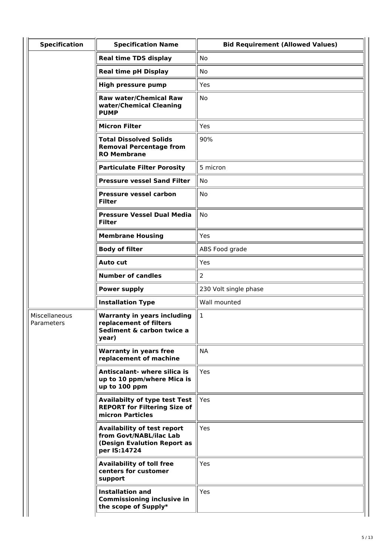| <b>Specification</b>        | <b>Specification Name</b>                                                                                    | <b>Bid Requirement (Allowed Values)</b> |
|-----------------------------|--------------------------------------------------------------------------------------------------------------|-----------------------------------------|
|                             | <b>Real time TDS display</b>                                                                                 | No                                      |
|                             | <b>Real time pH Display</b>                                                                                  | No                                      |
|                             | <b>High pressure pump</b>                                                                                    | Yes                                     |
|                             | <b>Raw water/Chemical Raw</b><br>water/Chemical Cleaning<br><b>PUMP</b>                                      | <b>No</b>                               |
|                             | <b>Micron Filter</b>                                                                                         | Yes                                     |
|                             | <b>Total Dissolved Solids</b><br><b>Removal Percentage from</b><br><b>RO Membrane</b>                        | 90%                                     |
|                             | <b>Particulate Filter Porosity</b>                                                                           | 5 micron                                |
|                             | <b>Pressure vessel Sand Filter</b>                                                                           | No                                      |
|                             | <b>Pressure vessel carbon</b><br><b>Filter</b>                                                               | <b>No</b>                               |
|                             | <b>Pressure Vessel Dual Media</b><br><b>Filter</b>                                                           | No                                      |
|                             | <b>Membrane Housing</b>                                                                                      | Yes                                     |
|                             | <b>Body of filter</b>                                                                                        | ABS Food grade                          |
|                             | <b>Auto cut</b>                                                                                              | Yes                                     |
|                             | <b>Number of candles</b>                                                                                     | $\overline{2}$                          |
|                             | <b>Power supply</b>                                                                                          | 230 Volt single phase                   |
|                             | <b>Installation Type</b>                                                                                     | Wall mounted                            |
| Miscellaneous<br>Parameters | <b>Warranty in years including</b><br>replacement of filters<br>Sediment & carbon twice a<br>year)           | $\mathbf{1}$                            |
|                             | <b>Warranty in years free</b><br>replacement of machine                                                      | <b>NA</b>                               |
|                             | Antiscalant- where silica is<br>up to 10 ppm/where Mica is<br>up to 100 ppm                                  | Yes                                     |
|                             | <b>Availabilty of type test Test</b><br><b>REPORT for Filtering Size of</b><br>micron Particles              | Yes                                     |
|                             | <b>Availability of test report</b><br>from Govt/NABL/ilac Lab<br>(Design Evalution Report as<br>per IS:14724 | Yes                                     |
|                             | <b>Availability of toll free</b><br>centers for customer<br>support                                          | Yes                                     |
|                             | <b>Installation and</b><br><b>Commissioning inclusive in</b><br>the scope of Supply*                         | Yes                                     |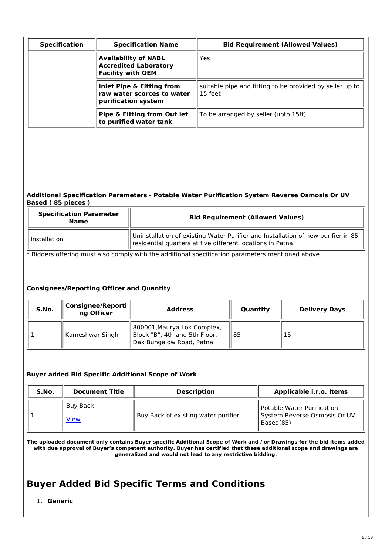| <b>Specification</b> | <b>Specification Name</b>                                                               | <b>Bid Requirement (Allowed Values)</b>                             |
|----------------------|-----------------------------------------------------------------------------------------|---------------------------------------------------------------------|
|                      | <b>Availability of NABL</b><br><b>Accredited Laboratory</b><br><b>Facility with OEM</b> | Yes                                                                 |
|                      | Inlet Pipe & Fitting from<br>raw water scorces to water<br>purification system          | suitable pipe and fitting to be provided by seller up to<br>15 feet |
|                      | Pipe & Fitting from Out let<br>to purified water tank                                   | To be arranged by seller (upto 15ft)                                |

## **Additional Specification Parameters - Potable Water Purification System Reverse Osmosis Or UV Based ( 85 pieces )**

| <b>Specification Parameter</b><br><b>Name</b> | <b>Bid Requirement (Allowed Values)</b>                                                                                                                   |
|-----------------------------------------------|-----------------------------------------------------------------------------------------------------------------------------------------------------------|
| Il Installation                               | Uninstallation of existing Water Purifier and Installation of new purifier in 85<br>$\parallel$ residential quarters at five different locations in Patna |

\* Bidders offering must also comply with the additional specification parameters mentioned above.

## **Consignees/Reporting Officer and Quantity**

| S.No. | Consignee/Reporti<br>ng Officer | <b>Address</b>                                                                           | Quantity | <b>Delivery Days</b> |  |
|-------|---------------------------------|------------------------------------------------------------------------------------------|----------|----------------------|--|
|       | Kameshwar Singh                 | 800001, Maurya Lok Complex,<br>Block "B", 4th and 5th Floor,<br>Dak Bungalow Road, Patna | l 85     | 15                   |  |

## **Buyer added Bid Specific Additional Scope of Work**

| S.No. | <b>Document Title</b> | <b>Description</b>                  | Applicable i.r.o. Items                                                 |  |
|-------|-----------------------|-------------------------------------|-------------------------------------------------------------------------|--|
|       | Buy Back<br>View      | Buy Back of existing water purifier | Detable Water Purification<br>System Reverse Osmosis Or UV<br>Based(85) |  |

The uploaded document only contains Buyer specific Additional Scope of Work and / or Drawings for the bid items added with due approval of Buyer's competent authority. Buyer has certified that these additional scope and drawings are **generalized and would not lead to any restrictive bidding.**

# **Buyer Added Bid Specific Terms and Conditions**

1. **Generic**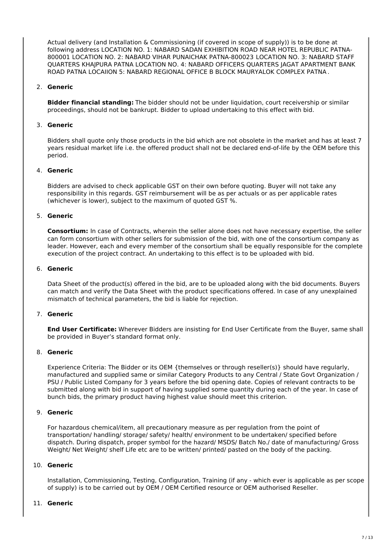Actual delivery (and Installation & Commissioning (if covered in scope of supply)) is to be done at following address LOCATION NO. 1: NABARD SADAN EXHIBITION ROAD NEAR HOTEL REPUBLIC PATNA-800001 LOCATION NO. 2: NABARD VIHAR PUNAICHAK PATNA-800023 LOCATION NO. 3: NABARD STAFF QUARTERS KHAJPURA PATNA LOCATION NO. 4: NABARD OFFICERS QUARTERS JAGAT APARTMENT BANK ROAD PATNA LOCAIION 5: NABARD REGIONAL OFFICE B BLOCK MAURYALOK COMPLEX PATNA .

## 2. **Generic**

**Bidder financial standing:** The bidder should not be under liquidation, court receivership or similar proceedings, should not be bankrupt. Bidder to upload undertaking to this effect with bid.

#### 3. **Generic**

Bidders shall quote only those products in the bid which are not obsolete in the market and has at least 7 years residual market life i.e. the offered product shall not be declared end-of-life by the OEM before this period.

## 4. **Generic**

Bidders are advised to check applicable GST on their own before quoting. Buyer will not take any responsibility in this regards. GST reimbursement will be as per actuals or as per applicable rates (whichever is lower), subject to the maximum of quoted GST %.

#### 5. **Generic**

**Consortium:** In case of Contracts, wherein the seller alone does not have necessary expertise, the seller can form consortium with other sellers for submission of the bid, with one of the consortium company as leader. However, each and every member of the consortium shall be equally responsible for the complete execution of the project contract. An undertaking to this effect is to be uploaded with bid.

## 6. **Generic**

Data Sheet of the product(s) offered in the bid, are to be uploaded along with the bid documents. Buyers can match and verify the Data Sheet with the product specifications offered. In case of any unexplained mismatch of technical parameters, the bid is liable for rejection.

#### 7. **Generic**

**End User Certificate:** Wherever Bidders are insisting for End User Certificate from the Buyer, same shall be provided in Buyer's standard format only.

#### 8. **Generic**

Experience Criteria: The Bidder or its OEM {themselves or through reseller(s)} should have regularly, manufactured and supplied same or similar Category Products to any Central / State Govt Organization / PSU / Public Listed Company for 3 years before the bid opening date. Copies of relevant contracts to be submitted along with bid in support of having supplied some quantity during each of the year. In case of bunch bids, the primary product having highest value should meet this criterion.

#### 9. **Generic**

For hazardous chemical/item, all precautionary measure as per regulation from the point of transportation/ handling/ storage/ safety/ health/ environment to be undertaken/ specified before dispatch. During dispatch, proper symbol for the hazard/ MSDS/ Batch No./ date of manufacturing/ Gross Weight/ Net Weight/ shelf Life etc are to be written/ printed/ pasted on the body of the packing.

## 10. **Generic**

Installation, Commissioning, Testing, Configuration, Training (if any - which ever is applicable as per scope of supply) is to be carried out by OEM / OEM Certified resource or OEM authorised Reseller.

#### 11. **Generic**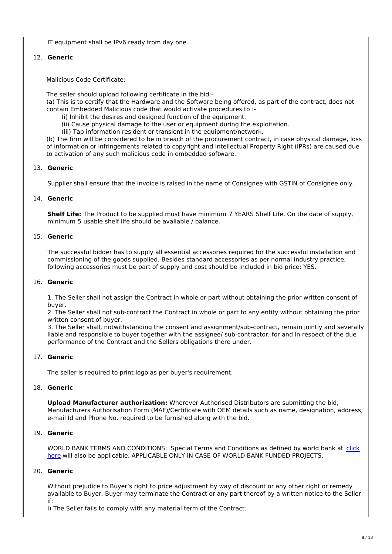IT equipment shall be IPv6 ready from day one.

## 12. **Generic**

Malicious Code Certificate:

The seller should upload following certificate in the bid:-

(a) This is to certify that the Hardware and the Software being offered, as part of the contract, does not contain Embedded Malicious code that would activate procedures to :-

- (i) Inhibit the desires and designed function of the equipment.
- (ii) Cause physical damage to the user or equipment during the exploitation.
- (iii) Tap information resident or transient in the equipment/network.

(b) The firm will be considered to be in breach of the procurement contract, in case physical damage, loss of information or infringements related to copyright and Intellectual Property Right (IPRs) are caused due to activation of any such malicious code in embedded software.

## 13. **Generic**

Supplier shall ensure that the Invoice is raised in the name of Consignee with GSTIN of Consignee only.

## 14. **Generic**

**Shelf Life:** The Product to be supplied must have minimum 7 YEARS Shelf Life. On the date of supply, minimum 5 usable shelf life should be available / balance.

## 15. **Generic**

The successful bidder has to supply all essential accessories required for the successful installation and commissioning of the goods supplied. Besides standard accessories as per normal industry practice, following accessories must be part of supply and cost should be included in bid price: YES.

#### 16. **Generic**

1. The Seller shall not assign the Contract in whole or part without obtaining the prior written consent of buyer.

2. The Seller shall not sub-contract the Contract in whole or part to any entity without obtaining the prior written consent of buyer.

3. The Seller shall, notwithstanding the consent and assignment/sub-contract, remain jointly and severally liable and responsible to buyer together with the assignee/ sub-contractor, for and in respect of the due performance of the Contract and the Sellers obligations there under.

## 17. **Generic**

The seller is required to print logo as per buyer's requirement.

## 18. **Generic**

**Upload Manufacturer authorization:** Wherever Authorised Distributors are submitting the bid, Manufacturers Authorisation Form (MAF)/Certificate with OEM details such as name, designation, address, e-mail Id and Phone No. required to be furnished along with the bid.

## 19. **Generic**

WORLD BANK TERMS AND CONDITIONS: Special Terms and Conditions as defined by world bank at click here will also be applicable. APPLICABLE ONLY IN CASE OF WORLD BANK FUNDED PROJECTS.

#### 20. **Generic**

Without prejudice to Buyer's right to price adjustment by way of discount or any other right or remedy available to Buyer, Buyer may terminate the Contract or any part thereof by a written notice to the Seller, if:

i) The Seller fails to comply with any material term of the Contract.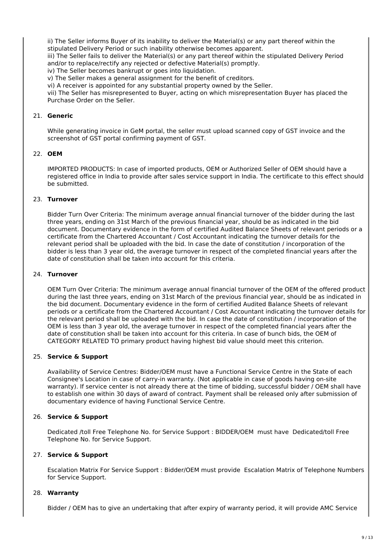ii) The Seller informs Buyer of its inability to deliver the Material(s) or any part thereof within the stipulated Delivery Period or such inability otherwise becomes apparent.

iii) The Seller fails to deliver the Material(s) or any part thereof within the stipulated Delivery Period and/or to replace/rectify any rejected or defective Material(s) promptly.

iv) The Seller becomes bankrupt or goes into liquidation.

v) The Seller makes a general assignment for the benefit of creditors.

vi) A receiver is appointed for any substantial property owned by the Seller.

vii) The Seller has misrepresented to Buyer, acting on which misrepresentation Buyer has placed the Purchase Order on the Seller.

## 21. **Generic**

While generating invoice in GeM portal, the seller must upload scanned copy of GST invoice and the screenshot of GST portal confirming payment of GST.

#### 22. **OEM**

IMPORTED PRODUCTS: In case of imported products, OEM or Authorized Seller of OEM should have a registered office in India to provide after sales service support in India. The certificate to this effect should be submitted.

## 23. **Turnover**

Bidder Turn Over Criteria: The minimum average annual financial turnover of the bidder during the last three years, ending on 31st March of the previous financial year, should be as indicated in the bid document. Documentary evidence in the form of certified Audited Balance Sheets of relevant periods or a certificate from the Chartered Accountant / Cost Accountant indicating the turnover details for the relevant period shall be uploaded with the bid. In case the date of constitution / incorporation of the bidder is less than 3 year old, the average turnover in respect of the completed financial years after the date of constitution shall be taken into account for this criteria.

#### 24. **Turnover**

OEM Turn Over Criteria: The minimum average annual financial turnover of the OEM of the offered product during the last three years, ending on 31st March of the previous financial year, should be as indicated in the bid document. Documentary evidence in the form of certified Audited Balance Sheets of relevant periods or a certificate from the Chartered Accountant / Cost Accountant indicating the turnover details for the relevant period shall be uploaded with the bid. In case the date of constitution / incorporation of the OEM is less than 3 year old, the average turnover in respect of the completed financial years after the date of constitution shall be taken into account for this criteria. In case of bunch bids, the OEM of CATEGORY RELATED TO primary product having highest bid value should meet this criterion.

## 25. **Service & Support**

Availability of Service Centres: Bidder/OEM must have a Functional Service Centre in the State of each Consignee's Location in case of carry-in warranty. (Not applicable in case of goods having on-site warranty). If service center is not already there at the time of bidding, successful bidder / OEM shall have to establish one within 30 days of award of contract. Payment shall be released only after submission of documentary evidence of having Functional Service Centre.

## 26. **Service & Support**

Dedicated /toll Free Telephone No. for Service Support : BIDDER/OEM must have Dedicated/toll Free Telephone No. for Service Support.

## 27. **Service & Support**

Escalation Matrix For Service Support : Bidder/OEM must provide Escalation Matrix of Telephone Numbers for Service Support.

#### 28. **Warranty**

Bidder / OEM has to give an undertaking that after expiry of warranty period, it will provide AMC Service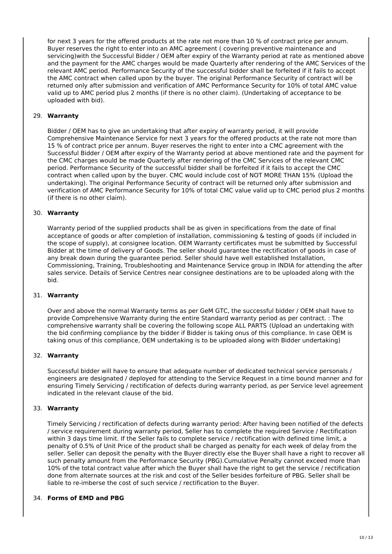for next 3 years for the offered products at the rate not more than 10 % of contract price per annum. Buyer reserves the right to enter into an AMC agreement ( covering preventive maintenance and servicing)with the Successful Bidder / OEM after expiry of the Warranty period at rate as mentioned above and the payment for the AMC charges would be made Quarterly after rendering of the AMC Services of the relevant AMC period. Performance Security of the successful bidder shall be forfeited if it fails to accept the AMC contract when called upon by the buyer. The original Performance Security of contract will be returned only after submission and verification of AMC Performance Security for 10% of total AMC value valid up to AMC period plus 2 months (if there is no other claim). (Undertaking of acceptance to be uploaded with bid).

## 29. **Warranty**

Bidder / OEM has to give an undertaking that after expiry of warranty period, it will provide Comprehensive Maintenance Service for next 3 years for the offered products at the rate not more than 15 % of contract price per annum. Buyer reserves the right to enter into a CMC agreement with the Successful Bidder / OEM after expiry of the Warranty period at above mentioned rate and the payment for the CMC charges would be made Quarterly after rendering of the CMC Services of the relevant CMC period. Performance Security of the successful bidder shall be forfeited if it fails to accept the CMC contract when called upon by the buyer. CMC would include cost of NOT MORE THAN 15% (Upload the undertaking). The original Performance Security of contract will be returned only after submission and verification of AMC Performance Security for 10% of total CMC value valid up to CMC period plus 2 months (if there is no other claim).

#### 30. **Warranty**

Warranty period of the supplied products shall be as given in specifications from the date of final acceptance of goods or after completion of installation, commissioning & testing of goods (if included in the scope of supply), at consignee location. OEM Warranty certificates must be submitted by Successful Bidder at the time of delivery of Goods. The seller should guarantee the rectification of goods in case of any break down during the guarantee period. Seller should have well established Installation, Commissioning, Training, Troubleshooting and Maintenance Service group in INDIA for attending the after sales service. Details of Service Centres near consignee destinations are to be uploaded along with the bid.

#### 31. **Warranty**

Over and above the normal Warranty terms as per GeM GTC, the successful bidder / OEM shall have to provide Comprehensive Warranty during the entire Standard warranty period as per contract. : The comprehensive warranty shall be covering the following scope ALL PARTS (Upload an undertaking with the bid confirming compliance by the bidder if Bidder is taking onus of this compliance. In case OEM is taking onus of this compliance, OEM undertaking is to be uploaded along with Bidder undertaking)

#### 32. **Warranty**

Successful bidder will have to ensure that adequate number of dedicated technical service personals / engineers are designated / deployed for attending to the Service Request in a time bound manner and for ensuring Timely Servicing / rectification of defects during warranty period, as per Service level agreement indicated in the relevant clause of the bid.

### 33. **Warranty**

Timely Servicing / rectification of defects during warranty period: After having been notified of the defects / service requirement during warranty period, Seller has to complete the required Service / Rectification within 3 days time limit. If the Seller fails to complete service / rectification with defined time limit, a penalty of 0.5% of Unit Price of the product shall be charged as penalty for each week of delay from the seller. Seller can deposit the penalty with the Buyer directly else the Buyer shall have a right to recover all such penalty amount from the Performance Security (PBG).Cumulative Penalty cannot exceed more than 10% of the total contract value after which the Buyer shall have the right to get the service / rectification done from alternate sources at the risk and cost of the Seller besides forfeiture of PBG. Seller shall be liable to re-imberse the cost of such service / rectification to the Buyer.

#### 34. **Forms of EMD and PBG**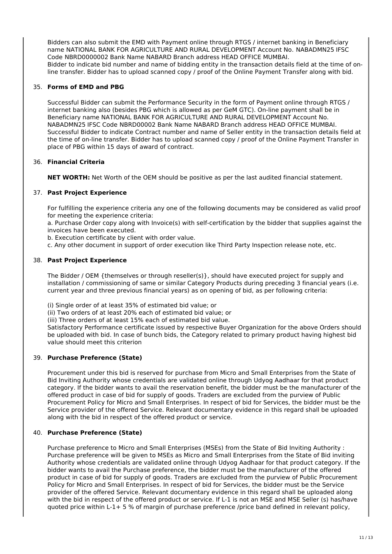Bidders can also submit the EMD with Payment online through RTGS / internet banking in Beneficiary name NATIONAL BANK FOR AGRICULTURE AND RURAL DEVELOPMENT Account No. NABADMN25 IFSC Code NBRD0000002 Bank Name NABARD Branch address HEAD OFFICE MUMBAI. Bidder to indicate bid number and name of bidding entity in the transaction details field at the time of online transfer. Bidder has to upload scanned copy / proof of the Online Payment Transfer along with bid.

## 35. **Forms of EMD and PBG**

Successful Bidder can submit the Performance Security in the form of Payment online through RTGS / internet banking also (besides PBG which is allowed as per GeM GTC). On-line payment shall be in Beneficiary name NATIONAL BANK FOR AGRICULTURE AND RURAL DEVELOPMENT Account No. NABADMN25 IFSC Code NBRD00002 Bank Name NABARD Branch address HEAD OFFICE MUMBAI. Successful Bidder to indicate Contract number and name of Seller entity in the transaction details field at the time of on-line transfer. Bidder has to upload scanned copy / proof of the Online Payment Transfer in place of PBG within 15 days of award of contract.

## 36. **Financial Criteria**

**NET WORTH:** Net Worth of the OEM should be positive as per the last audited financial statement.

## 37. **Past Project Experience**

For fulfilling the experience criteria any one of the following documents may be considered as valid proof for meeting the experience criteria:

a. Purchase Order copy along with Invoice(s) with self-certification by the bidder that supplies against the invoices have been executed.

b. Execution certificate by client with order value.

c. Any other document in support of order execution like Third Party Inspection release note, etc.

#### 38. **Past Project Experience**

The Bidder / OEM {themselves or through reseller(s)}, should have executed project for supply and installation / commissioning of same or similar Category Products during preceding 3 financial years (i.e. current year and three previous financial years) as on opening of bid, as per following criteria:

(i) Single order of at least 35% of estimated bid value; or

(ii) Two orders of at least 20% each of estimated bid value; or

(iii) Three orders of at least 15% each of estimated bid value.

Satisfactory Performance certificate issued by respective Buyer Organization for the above Orders should be uploaded with bid. In case of bunch bids, the Category related to primary product having highest bid value should meet this criterion

#### 39. **Purchase Preference (State)**

Procurement under this bid is reserved for purchase from Micro and Small Enterprises from the State of Bid Inviting Authority whose credentials are validated online through Udyog Aadhaar for that product category. If the bidder wants to avail the reservation benefit, the bidder must be the manufacturer of the offered product in case of bid for supply of goods. Traders are excluded from the purview of Public Procurement Policy for Micro and Small Enterprises. In respect of bid for Services, the bidder must be the Service provider of the offered Service. Relevant documentary evidence in this regard shall be uploaded along with the bid in respect of the offered product or service.

#### 40. **Purchase Preference (State)**

Purchase preference to Micro and Small Enterprises (MSEs) from the State of Bid Inviting Authority : Purchase preference will be given to MSEs as Micro and Small Enterprises from the State of Bid inviting Authority whose credentials are validated online through Udyog Aadhaar for that product category. If the bidder wants to avail the Purchase preference, the bidder must be the manufacturer of the offered product in case of bid for supply of goods. Traders are excluded from the purview of Public Procurement Policy for Micro and Small Enterprises. In respect of bid for Services, the bidder must be the Service provider of the offered Service. Relevant documentary evidence in this regard shall be uploaded along with the bid in respect of the offered product or service. If L-1 is not an MSE and MSE Seller (s) has/have quoted price within L-1+ 5 % of margin of purchase preference /price band defined in relevant policy,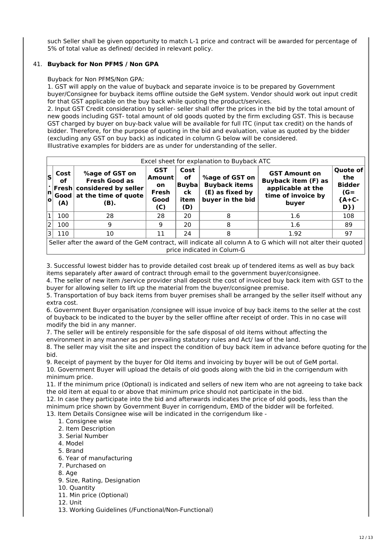such Seller shall be given opportunity to match L-1 price and contract will be awarded for percentage of 5% of total value as defined/ decided in relevant policy.

## 41. **Buyback for Non PFMS / Non GPA**

## Buyback for Non PFMS/Non GPA:

1. GST will apply on the value of buyback and separate invoice is to be prepared by Government buyer/Consignee for buyback items offline outside the GeM system. Vendor should work out input credit for that GST applicable on the buy back while quoting the product/services.

2. Input GST Credit consideration by seller- seller shall offer the prices in the bid by the total amount of new goods including GST- total amount of old goods quoted by the firm excluding GST. This is because GST charged by buyer on buy-back value will be available for full ITC (input tax credit) on the hands of bidder. Therefore, for the purpose of quoting in the bid and evaluation, value as quoted by the bidder (excluding any GST on buy back) as indicated in column G below will be considered. Illustrative examples for bidders are as under for understanding of the seller.

| Excel sheet for explanation to Buyback ATC                                                                                                  |                           |                                                                                                             |                                                                  |                                             |                                                                               |                                                                                                        |                                                                     |  |  |  |
|---------------------------------------------------------------------------------------------------------------------------------------------|---------------------------|-------------------------------------------------------------------------------------------------------------|------------------------------------------------------------------|---------------------------------------------|-------------------------------------------------------------------------------|--------------------------------------------------------------------------------------------------------|---------------------------------------------------------------------|--|--|--|
| ls<br> n <br>۱o                                                                                                                             | Cost<br>оf<br>Good<br>(A) | %age of GST on<br><b>Fresh Good as</b><br><b>Fresh considered by seller</b><br>at the time of quote<br>(B). | <b>GST</b><br><b>Amount</b><br><b>on</b><br>Fresh<br>Good<br>(C) | Cost<br>of<br>$B$ uyba<br>ck<br>item<br>(D) | %age of GST on<br><b>Buyback items</b><br>(E) as fixed by<br>buyer in the bid | <b>GST Amount on</b><br><b>Buyback item (F) as</b><br>applicable at the<br>time of invoice by<br>buyer | <b>Quote of</b><br>the<br><b>Bidder</b><br>$(G =$<br>${A+C-$<br>D}) |  |  |  |
|                                                                                                                                             | 100                       | 28                                                                                                          | 28                                                               | 20                                          | 8                                                                             | 1.6                                                                                                    | 108                                                                 |  |  |  |
| 2                                                                                                                                           | 100                       | 9                                                                                                           | 9                                                                | 20                                          | 8                                                                             | 1.6                                                                                                    | 89                                                                  |  |  |  |
|                                                                                                                                             | 110                       | 10                                                                                                          | 11                                                               | 24                                          | 8                                                                             | 1.92                                                                                                   | 97                                                                  |  |  |  |
| Seller after the award of the GeM contract, will indicate all column A to G which will not alter their quoted<br>price indicated in Colum-G |                           |                                                                                                             |                                                                  |                                             |                                                                               |                                                                                                        |                                                                     |  |  |  |

3. Successful lowest bidder has to provide detailed cost break up of tendered items as well as buy back items separately after award of contract through email to the government buyer/consignee.

4. The seller of new item /service provider shall deposit the cost of invoiced buy back item with GST to the buyer for allowing seller to lift up the material from the buyer/consignee premise.

5. Transportation of buy back items from buyer premises shall be arranged by the seller itself without any extra cost.

6. Government Buyer organisation /consignee will issue invoice of buy back items to the seller at the cost of buyback to be indicated to the buyer by the seller offline after receipt of order. This in no case will modify the bid in any manner.

7. The seller will be entirely responsible for the safe disposal of old items without affecting the environment in any manner as per prevailing statutory rules and Act/ law of the land.

8. The seller may visit the site and inspect the condition of buy back item in advance before quoting for the bid.

9. Receipt of payment by the buyer for Old items and invoicing by buyer will be out of GeM portal. 10. Government Buyer will upload the details of old goods along with the bid in the corrigendum with minimum price.

11. If the minimum price (Optional) is indicated and sellers of new item who are not agreeing to take back the old item at equal to or above that minimum price should not participate in the bid.

12. In case they participate into the bid and afterwards indicates the price of old goods, less than the minimum price shown by Government Buyer in corrigendum, EMD of the bidder will be forfeited.

13. Item Details Consignee wise will be indicated in the corrigendum like -

- 1. Consignee wise
- 2. Item Description
- 3. Serial Number
- 4. Model
- 5. Brand
- 6. Year of manufacturing
- 7. Purchased on
- 8. Age
- 9. Size, Rating, Designation
- 10. Quantity
- 11. Min price (Optional)
- 12. Unit
- 13. Working Guidelines (/Functional/Non-Functional)